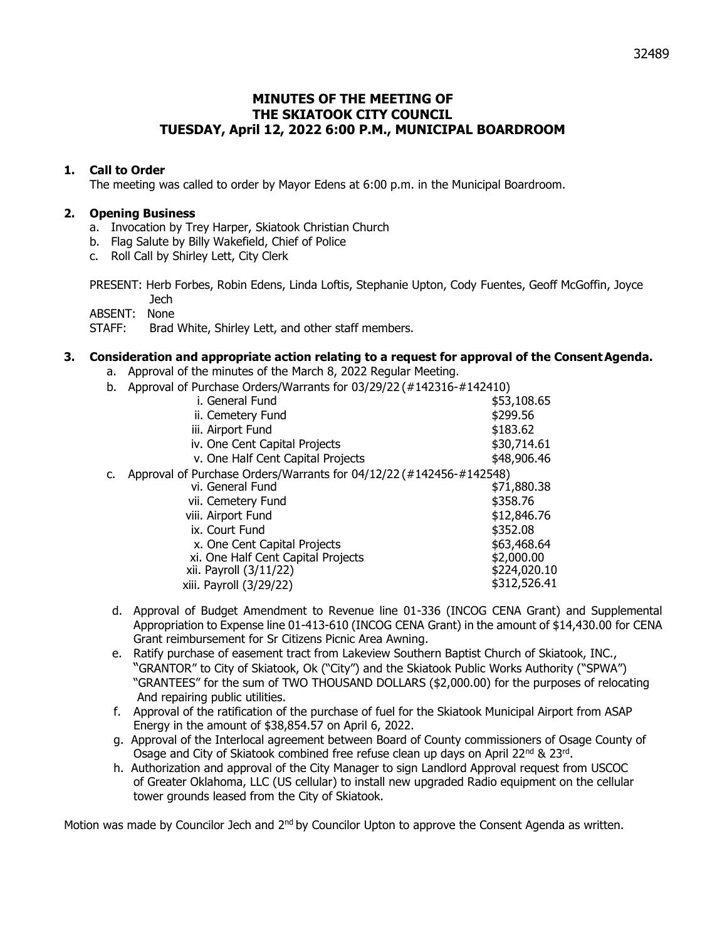# **MINUTES OF THE MEETING OF THE SKIATOOK CITY COUNCIL TUESDAY, April 12, 2022 6:00 P.M., MUNICIPAL BOARDROOM**

## **1. Call to Order**

The meeting was called to order by Mayor Edens at 6:00 p.m. in the Municipal Boardroom.

### **2. Opening Business**

- a. Invocation by Trey Harper, Skiatook Christian Church
- b. Flag Salute by Billy Wakefield, Chief of Police
- c. Roll Call by Shirley Lett, City Clerk

PRESENT: Herb Forbes, Robin Edens, Linda Loftis, Stephanie Upton, Cody Fuentes, Geoff McGoffin, Joyce Jech

ABSENT: None

STAFF: Brad White, Shirley Lett, and other staff members.

### **3. Consideration and appropriate action relating to a request for approval of the ConsentAgenda.**

- a. Approval of the minutes of the March 8, 2022 Regular Meeting.
- b. Approval of Purchase Orders/Warrants for 03/29/22 (#142316-#142410)

|    | $\frac{1}{2}$ . The state of the state of the state of the state $\frac{1}{2}$ , $\frac{1}{2}$ , $\frac{1}{2}$ , $\frac{1}{2}$ , $\frac{1}{2}$ , $\frac{1}{2}$ , $\frac{1}{2}$ , $\frac{1}{2}$ , $\frac{1}{2}$ , $\frac{1}{2}$ , $\frac{1}{2}$ , $\frac{1}{2}$ , $\frac{1}{2}$ , $\frac{$ |              |
|----|-------------------------------------------------------------------------------------------------------------------------------------------------------------------------------------------------------------------------------------------------------------------------------------------|--------------|
|    | i. General Fund                                                                                                                                                                                                                                                                           | \$53,108.65  |
|    | ii. Cemetery Fund                                                                                                                                                                                                                                                                         | \$299.56     |
|    | iii. Airport Fund                                                                                                                                                                                                                                                                         | \$183.62     |
|    | iv. One Cent Capital Projects                                                                                                                                                                                                                                                             | \$30,714.61  |
|    | v. One Half Cent Capital Projects                                                                                                                                                                                                                                                         | \$48,906.46  |
| c. | Approval of Purchase Orders/Warrants for 04/12/22 (#142456-#142548)                                                                                                                                                                                                                       |              |
|    | vi. General Fund                                                                                                                                                                                                                                                                          | \$71,880.38  |
|    | vii. Cemetery Fund                                                                                                                                                                                                                                                                        | \$358.76     |
|    | viii. Airport Fund                                                                                                                                                                                                                                                                        | \$12,846.76  |
|    | ix. Court Fund                                                                                                                                                                                                                                                                            | \$352.08     |
|    | x. One Cent Capital Projects                                                                                                                                                                                                                                                              | \$63,468.64  |
|    | xi. One Half Cent Capital Projects                                                                                                                                                                                                                                                        | \$2,000.00   |
|    | xii. Payroll (3/11/22)                                                                                                                                                                                                                                                                    | \$224,020.10 |
|    | xiii. Payroll (3/29/22)                                                                                                                                                                                                                                                                   | \$312,526.41 |
|    |                                                                                                                                                                                                                                                                                           |              |

- d. Approval of Budget Amendment to Revenue line 01-336 (INCOG CENA Grant) and Supplemental Appropriation to Expense line 01-413-610 (INCOG CENA Grant) in the amount of \$14,430.00 for CENA Grant reimbursement for Sr Citizens Picnic Area Awning.
- e. Ratify purchase of easement tract from Lakeview Southern Baptist Church of Skiatook, INC., "GRANTOR" to City of Skiatook, Ok ("City") and the Skiatook Public Works Authority ("SPWA") "GRANTEES" for the sum of TWO THOUSAND DOLLARS (\$2,000.00) for the purposes of relocating And repairing public utilities.
- f. Approval of the ratification of the purchase of fuel for the Skiatook Municipal Airport from ASAP Energy in the amount of \$38,854.57 on April 6, 2022.
- g. Approval of the Interlocal agreement between Board of County commissioners of Osage County of Osage and City of Skiatook combined free refuse clean up days on April 22<sup>nd</sup> & 23<sup>rd</sup>.
- h. Authorization and approval of the City Manager to sign Landlord Approval request from USCOC of Greater Oklahoma, LLC (US cellular) to install new upgraded Radio equipment on the cellular tower grounds leased from the City of Skiatook.

Motion was made by Councilor Jech and 2<sup>nd</sup> by Councilor Upton to approve the Consent Agenda as written.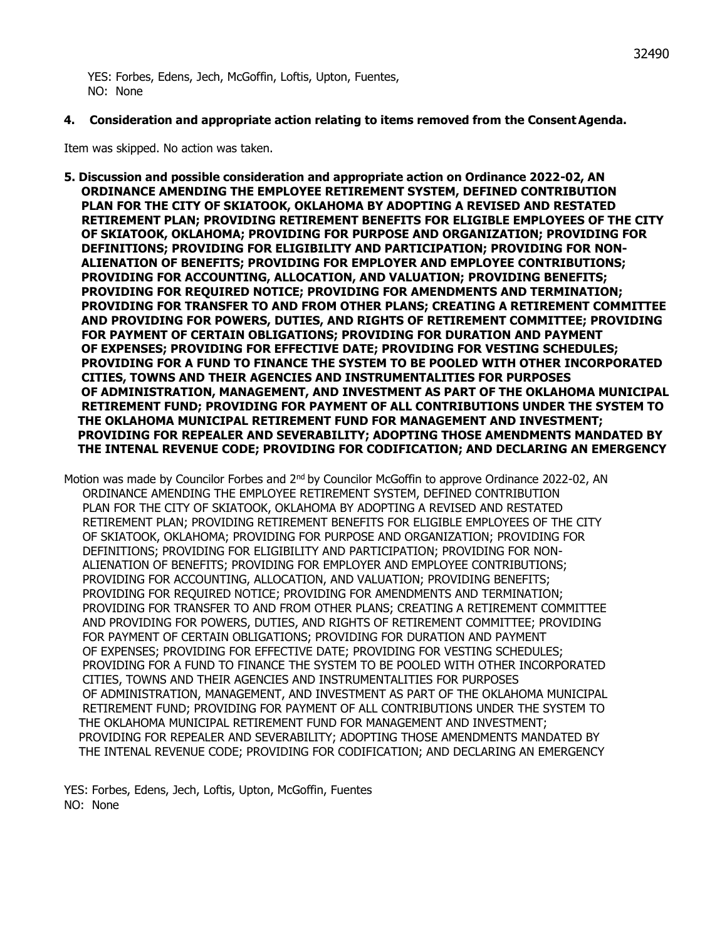YES: Forbes, Edens, Jech, McGoffin, Loftis, Upton, Fuentes, NO: None

### **4. Consideration and appropriate action relating to items removed from the ConsentAgenda.**

Item was skipped. No action was taken.

**5. Discussion and possible consideration and appropriate action on Ordinance 2022-02, AN ORDINANCE AMENDING THE EMPLOYEE RETIREMENT SYSTEM, DEFINED CONTRIBUTION PLAN FOR THE CITY OF SKIATOOK, OKLAHOMA BY ADOPTING A REVISED AND RESTATED RETIREMENT PLAN; PROVIDING RETIREMENT BENEFITS FOR ELIGIBLE EMPLOYEES OF THE CITY OF SKIATOOK, OKLAHOMA; PROVIDING FOR PURPOSE AND ORGANIZATION; PROVIDING FOR DEFINITIONS; PROVIDING FOR ELIGIBILITY AND PARTICIPATION; PROVIDING FOR NON- ALIENATION OF BENEFITS; PROVIDING FOR EMPLOYER AND EMPLOYEE CONTRIBUTIONS; PROVIDING FOR ACCOUNTING, ALLOCATION, AND VALUATION; PROVIDING BENEFITS; PROVIDING FOR REQUIRED NOTICE; PROVIDING FOR AMENDMENTS AND TERMINATION; PROVIDING FOR TRANSFER TO AND FROM OTHER PLANS; CREATING A RETIREMENT COMMITTEE AND PROVIDING FOR POWERS, DUTIES, AND RIGHTS OF RETIREMENT COMMITTEE; PROVIDING FOR PAYMENT OF CERTAIN OBLIGATIONS; PROVIDING FOR DURATION AND PAYMENT OF EXPENSES; PROVIDING FOR EFFECTIVE DATE; PROVIDING FOR VESTING SCHEDULES; PROVIDING FOR A FUND TO FINANCE THE SYSTEM TO BE POOLED WITH OTHER INCORPORATED CITIES, TOWNS AND THEIR AGENCIES AND INSTRUMENTALITIES FOR PURPOSES OF ADMINISTRATION, MANAGEMENT, AND INVESTMENT AS PART OF THE OKLAHOMA MUNICIPAL RETIREMENT FUND; PROVIDING FOR PAYMENT OF ALL CONTRIBUTIONS UNDER THE SYSTEM TO THE OKLAHOMA MUNICIPAL RETIREMENT FUND FOR MANAGEMENT AND INVESTMENT; PROVIDING FOR REPEALER AND SEVERABILITY; ADOPTING THOSE AMENDMENTS MANDATED BY THE INTENAL REVENUE CODE; PROVIDING FOR CODIFICATION; AND DECLARING AN EMERGENCY**

Motion was made by Councilor Forbes and 2<sup>nd</sup> by Councilor McGoffin to approve Ordinance 2022-02, AN ORDINANCE AMENDING THE EMPLOYEE RETIREMENT SYSTEM, DEFINED CONTRIBUTION PLAN FOR THE CITY OF SKIATOOK, OKLAHOMA BY ADOPTING A REVISED AND RESTATED RETIREMENT PLAN; PROVIDING RETIREMENT BENEFITS FOR ELIGIBLE EMPLOYEES OF THE CITY OF SKIATOOK, OKLAHOMA; PROVIDING FOR PURPOSE AND ORGANIZATION; PROVIDING FOR DEFINITIONS; PROVIDING FOR ELIGIBILITY AND PARTICIPATION; PROVIDING FOR NON- ALIENATION OF BENEFITS; PROVIDING FOR EMPLOYER AND EMPLOYEE CONTRIBUTIONS; PROVIDING FOR ACCOUNTING, ALLOCATION, AND VALUATION; PROVIDING BENEFITS; PROVIDING FOR REQUIRED NOTICE; PROVIDING FOR AMENDMENTS AND TERMINATION; PROVIDING FOR TRANSFER TO AND FROM OTHER PLANS; CREATING A RETIREMENT COMMITTEE AND PROVIDING FOR POWERS, DUTIES, AND RIGHTS OF RETIREMENT COMMITTEE; PROVIDING FOR PAYMENT OF CERTAIN OBLIGATIONS; PROVIDING FOR DURATION AND PAYMENT OF EXPENSES; PROVIDING FOR EFFECTIVE DATE; PROVIDING FOR VESTING SCHEDULES; PROVIDING FOR A FUND TO FINANCE THE SYSTEM TO BE POOLED WITH OTHER INCORPORATED CITIES, TOWNS AND THEIR AGENCIES AND INSTRUMENTALITIES FOR PURPOSES OF ADMINISTRATION, MANAGEMENT, AND INVESTMENT AS PART OF THE OKLAHOMA MUNICIPAL RETIREMENT FUND; PROVIDING FOR PAYMENT OF ALL CONTRIBUTIONS UNDER THE SYSTEM TO THE OKLAHOMA MUNICIPAL RETIREMENT FUND FOR MANAGEMENT AND INVESTMENT; PROVIDING FOR REPEALER AND SEVERABILITY; ADOPTING THOSE AMENDMENTS MANDATED BY THE INTENAL REVENUE CODE; PROVIDING FOR CODIFICATION; AND DECLARING AN EMERGENCY

YES: Forbes, Edens, Jech, Loftis, Upton, McGoffin, Fuentes NO: None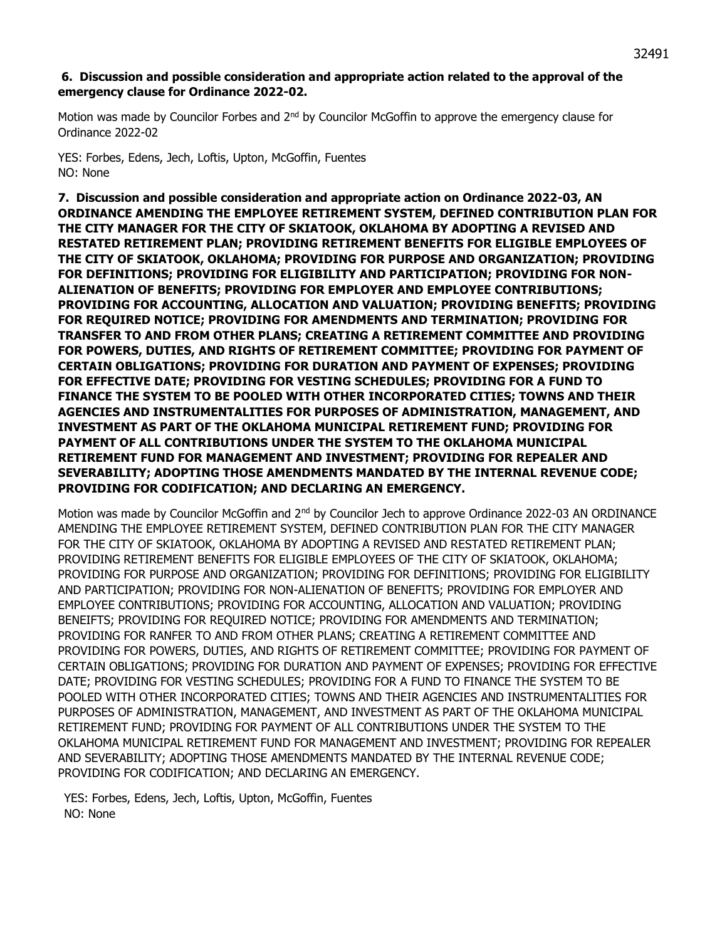## **6. Discussion and possible consideration and appropriate action related to the approval of the emergency clause for Ordinance 2022-02.**

Motion was made by Councilor Forbes and 2<sup>nd</sup> by Councilor McGoffin to approve the emergency clause for Ordinance 2022-02

YES: Forbes, Edens, Jech, Loftis, Upton, McGoffin, Fuentes NO: None

**7. Discussion and possible consideration and appropriate action on Ordinance 2022-03, AN ORDINANCE AMENDING THE EMPLOYEE RETIREMENT SYSTEM, DEFINED CONTRIBUTION PLAN FOR THE CITY MANAGER FOR THE CITY OF SKIATOOK, OKLAHOMA BY ADOPTING A REVISED AND RESTATED RETIREMENT PLAN; PROVIDING RETIREMENT BENEFITS FOR ELIGIBLE EMPLOYEES OF THE CITY OF SKIATOOK, OKLAHOMA; PROVIDING FOR PURPOSE AND ORGANIZATION; PROVIDING FOR DEFINITIONS; PROVIDING FOR ELIGIBILITY AND PARTICIPATION; PROVIDING FOR NON-ALIENATION OF BENEFITS; PROVIDING FOR EMPLOYER AND EMPLOYEE CONTRIBUTIONS; PROVIDING FOR ACCOUNTING, ALLOCATION AND VALUATION; PROVIDING BENEFITS; PROVIDING FOR REQUIRED NOTICE; PROVIDING FOR AMENDMENTS AND TERMINATION; PROVIDING FOR TRANSFER TO AND FROM OTHER PLANS; CREATING A RETIREMENT COMMITTEE AND PROVIDING FOR POWERS, DUTIES, AND RIGHTS OF RETIREMENT COMMITTEE; PROVIDING FOR PAYMENT OF CERTAIN OBLIGATIONS; PROVIDING FOR DURATION AND PAYMENT OF EXPENSES; PROVIDING FOR EFFECTIVE DATE; PROVIDING FOR VESTING SCHEDULES; PROVIDING FOR A FUND TO FINANCE THE SYSTEM TO BE POOLED WITH OTHER INCORPORATED CITIES; TOWNS AND THEIR AGENCIES AND INSTRUMENTALITIES FOR PURPOSES OF ADMINISTRATION, MANAGEMENT, AND INVESTMENT AS PART OF THE OKLAHOMA MUNICIPAL RETIREMENT FUND; PROVIDING FOR PAYMENT OF ALL CONTRIBUTIONS UNDER THE SYSTEM TO THE OKLAHOMA MUNICIPAL RETIREMENT FUND FOR MANAGEMENT AND INVESTMENT; PROVIDING FOR REPEALER AND SEVERABILITY; ADOPTING THOSE AMENDMENTS MANDATED BY THE INTERNAL REVENUE CODE; PROVIDING FOR CODIFICATION; AND DECLARING AN EMERGENCY.** 

Motion was made by Councilor McGoffin and 2<sup>nd</sup> by Councilor Jech to approve Ordinance 2022-03 AN ORDINANCE AMENDING THE EMPLOYEE RETIREMENT SYSTEM, DEFINED CONTRIBUTION PLAN FOR THE CITY MANAGER FOR THE CITY OF SKIATOOK, OKLAHOMA BY ADOPTING A REVISED AND RESTATED RETIREMENT PLAN; PROVIDING RETIREMENT BENEFITS FOR ELIGIBLE EMPLOYEES OF THE CITY OF SKIATOOK, OKLAHOMA; PROVIDING FOR PURPOSE AND ORGANIZATION; PROVIDING FOR DEFINITIONS; PROVIDING FOR ELIGIBILITY AND PARTICIPATION; PROVIDING FOR NON-ALIENATION OF BENEFITS; PROVIDING FOR EMPLOYER AND EMPLOYEE CONTRIBUTIONS; PROVIDING FOR ACCOUNTING, ALLOCATION AND VALUATION; PROVIDING BENEIFTS; PROVIDING FOR REQUIRED NOTICE; PROVIDING FOR AMENDMENTS AND TERMINATION; PROVIDING FOR RANFER TO AND FROM OTHER PLANS; CREATING A RETIREMENT COMMITTEE AND PROVIDING FOR POWERS, DUTIES, AND RIGHTS OF RETIREMENT COMMITTEE; PROVIDING FOR PAYMENT OF CERTAIN OBLIGATIONS; PROVIDING FOR DURATION AND PAYMENT OF EXPENSES; PROVIDING FOR EFFECTIVE DATE; PROVIDING FOR VESTING SCHEDULES; PROVIDING FOR A FUND TO FINANCE THE SYSTEM TO BE POOLED WITH OTHER INCORPORATED CITIES; TOWNS AND THEIR AGENCIES AND INSTRUMENTALITIES FOR PURPOSES OF ADMINISTRATION, MANAGEMENT, AND INVESTMENT AS PART OF THE OKLAHOMA MUNICIPAL RETIREMENT FUND; PROVIDING FOR PAYMENT OF ALL CONTRIBUTIONS UNDER THE SYSTEM TO THE OKLAHOMA MUNICIPAL RETIREMENT FUND FOR MANAGEMENT AND INVESTMENT; PROVIDING FOR REPEALER AND SEVERABILITY; ADOPTING THOSE AMENDMENTS MANDATED BY THE INTERNAL REVENUE CODE; PROVIDING FOR CODIFICATION; AND DECLARING AN EMERGENCY.

YES: Forbes, Edens, Jech, Loftis, Upton, McGoffin, Fuentes NO: None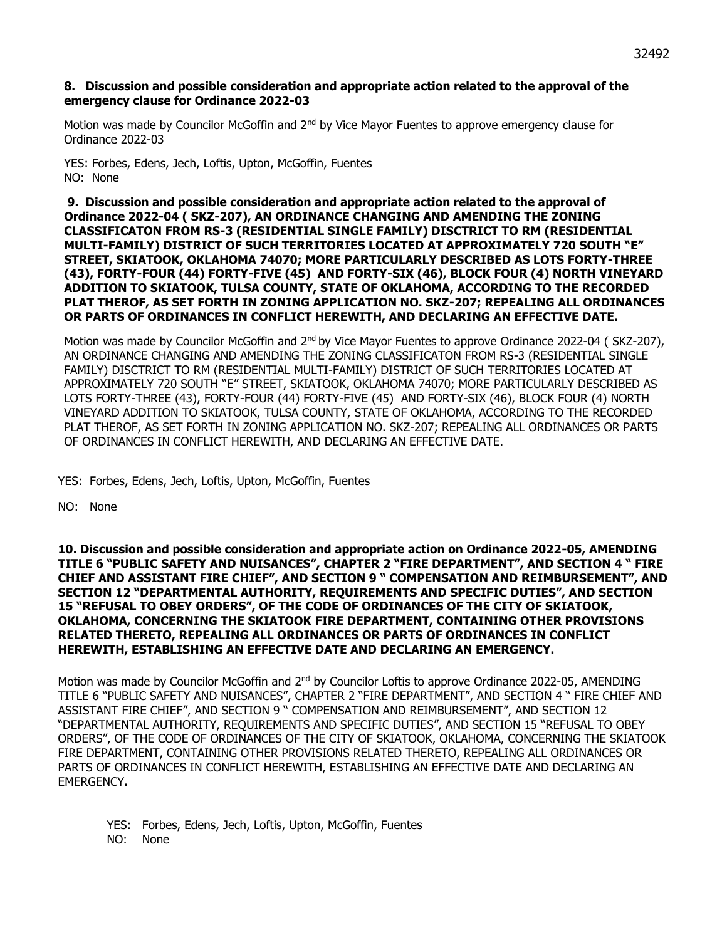#### **8. Discussion and possible consideration and appropriate action related to the approval of the emergency clause for Ordinance 2022-03**

Motion was made by Councilor McGoffin and 2<sup>nd</sup> by Vice Mayor Fuentes to approve emergency clause for Ordinance 2022-03

YES: Forbes, Edens, Jech, Loftis, Upton, McGoffin, Fuentes NO: None

**9. Discussion and possible consideration and appropriate action related to the approval of Ordinance 2022-04 ( SKZ-207), AN ORDINANCE CHANGING AND AMENDING THE ZONING CLASSIFICATON FROM RS-3 (RESIDENTIAL SINGLE FAMILY) DISCTRICT TO RM (RESIDENTIAL MULTI-FAMILY) DISTRICT OF SUCH TERRITORIES LOCATED AT APPROXIMATELY 720 SOUTH "E" STREET, SKIATOOK, OKLAHOMA 74070; MORE PARTICULARLY DESCRIBED AS LOTS FORTY-THREE (43), FORTY-FOUR (44) FORTY-FIVE (45) AND FORTY-SIX (46), BLOCK FOUR (4) NORTH VINEYARD ADDITION TO SKIATOOK, TULSA COUNTY, STATE OF OKLAHOMA, ACCORDING TO THE RECORDED PLAT THEROF, AS SET FORTH IN ZONING APPLICATION NO. SKZ-207; REPEALING ALL ORDINANCES OR PARTS OF ORDINANCES IN CONFLICT HEREWITH, AND DECLARING AN EFFECTIVE DATE.**

Motion was made by Councilor McGoffin and 2<sup>nd</sup> by Vice Mayor Fuentes to approve Ordinance 2022-04 (SKZ-207), AN ORDINANCE CHANGING AND AMENDING THE ZONING CLASSIFICATON FROM RS-3 (RESIDENTIAL SINGLE FAMILY) DISCTRICT TO RM (RESIDENTIAL MULTI-FAMILY) DISTRICT OF SUCH TERRITORIES LOCATED AT APPROXIMATELY 720 SOUTH "E" STREET, SKIATOOK, OKLAHOMA 74070; MORE PARTICULARLY DESCRIBED AS LOTS FORTY-THREE (43), FORTY-FOUR (44) FORTY-FIVE (45) AND FORTY-SIX (46), BLOCK FOUR (4) NORTH VINEYARD ADDITION TO SKIATOOK, TULSA COUNTY, STATE OF OKLAHOMA, ACCORDING TO THE RECORDED PLAT THEROF, AS SET FORTH IN ZONING APPLICATION NO. SKZ-207; REPEALING ALL ORDINANCES OR PARTS OF ORDINANCES IN CONFLICT HEREWITH, AND DECLARING AN EFFECTIVE DATE.

YES: Forbes, Edens, Jech, Loftis, Upton, McGoffin, Fuentes

NO: None

**10. Discussion and possible consideration and appropriate action on Ordinance 2022-05, AMENDING TITLE 6 "PUBLIC SAFETY AND NUISANCES", CHAPTER 2 "FIRE DEPARTMENT", AND SECTION 4 " FIRE CHIEF AND ASSISTANT FIRE CHIEF", AND SECTION 9 " COMPENSATION AND REIMBURSEMENT", AND SECTION 12 "DEPARTMENTAL AUTHORITY, REQUIREMENTS AND SPECIFIC DUTIES", AND SECTION 15 "REFUSAL TO OBEY ORDERS", OF THE CODE OF ORDINANCES OF THE CITY OF SKIATOOK, OKLAHOMA, CONCERNING THE SKIATOOK FIRE DEPARTMENT, CONTAINING OTHER PROVISIONS RELATED THERETO, REPEALING ALL ORDINANCES OR PARTS OF ORDINANCES IN CONFLICT HEREWITH, ESTABLISHING AN EFFECTIVE DATE AND DECLARING AN EMERGENCY.**

Motion was made by Councilor McGoffin and 2<sup>nd</sup> by Councilor Loftis to approve Ordinance 2022-05, AMENDING TITLE 6 "PUBLIC SAFETY AND NUISANCES", CHAPTER 2 "FIRE DEPARTMENT", AND SECTION 4 " FIRE CHIEF AND ASSISTANT FIRE CHIEF", AND SECTION 9 " COMPENSATION AND REIMBURSEMENT", AND SECTION 12 "DEPARTMENTAL AUTHORITY, REQUIREMENTS AND SPECIFIC DUTIES", AND SECTION 15 "REFUSAL TO OBEY ORDERS", OF THE CODE OF ORDINANCES OF THE CITY OF SKIATOOK, OKLAHOMA, CONCERNING THE SKIATOOK FIRE DEPARTMENT, CONTAINING OTHER PROVISIONS RELATED THERETO, REPEALING ALL ORDINANCES OR PARTS OF ORDINANCES IN CONFLICT HEREWITH, ESTABLISHING AN EFFECTIVE DATE AND DECLARING AN EMERGENCY**.**

YES: Forbes, Edens, Jech, Loftis, Upton, McGoffin, Fuentes NO: None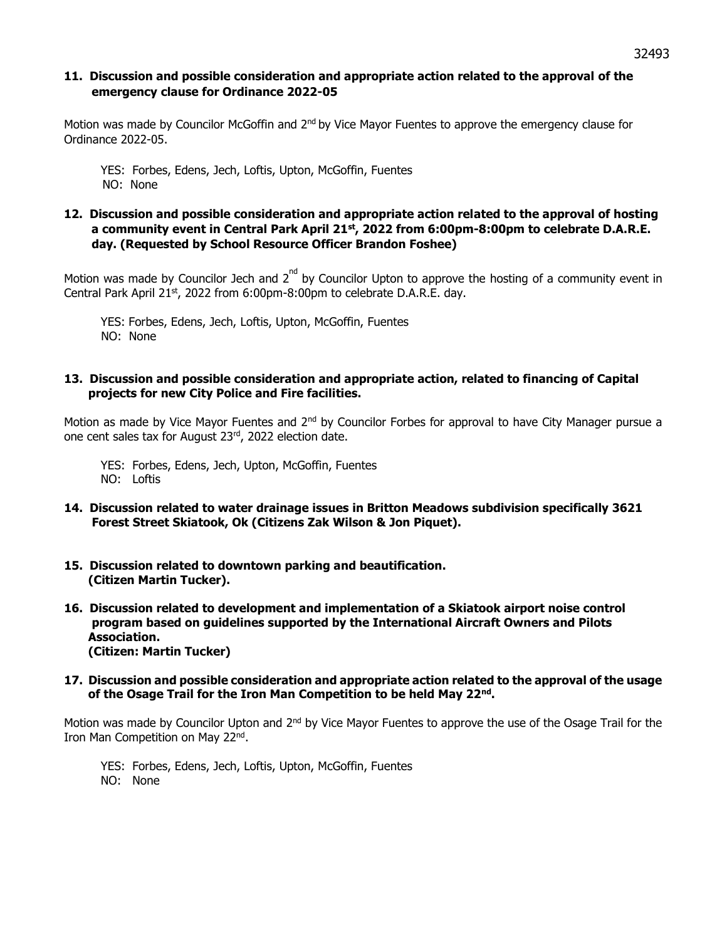## **11. Discussion and possible consideration and appropriate action related to the approval of the emergency clause for Ordinance 2022-05**

Motion was made by Councilor McGoffin and  $2<sup>nd</sup>$  by Vice Mayor Fuentes to approve the emergency clause for Ordinance 2022-05.

YES: Forbes, Edens, Jech, Loftis, Upton, McGoffin, Fuentes NO: None

## **12. Discussion and possible consideration and appropriate action related to the approval of hosting a community event in Central Park April 21st, 2022 from 6:00pm-8:00pm to celebrate D.A.R.E. day. (Requested by School Resource Officer Brandon Foshee)**

Motion was made by Councilor Jech and  $2^{nd}$  by Councilor Upton to approve the hosting of a community event in Central Park April 21st, 2022 from 6:00pm-8:00pm to celebrate D.A.R.E. day.

YES: Forbes, Edens, Jech, Loftis, Upton, McGoffin, Fuentes NO: None

### **13. Discussion and possible consideration and appropriate action, related to financing of Capital projects for new City Police and Fire facilities.**

Motion as made by Vice Mayor Fuentes and 2<sup>nd</sup> by Councilor Forbes for approval to have City Manager pursue a one cent sales tax for August 23rd, 2022 election date.

YES: Forbes, Edens, Jech, Upton, McGoffin, Fuentes NO: Loftis

- **14. Discussion related to water drainage issues in Britton Meadows subdivision specifically 3621 Forest Street Skiatook, Ok (Citizens Zak Wilson & Jon Piquet).**
- **15. Discussion related to downtown parking and beautification. (Citizen Martin Tucker).**
- **16. Discussion related to development and implementation of a Skiatook airport noise control program based on guidelines supported by the International Aircraft Owners and Pilots Association. (Citizen: Martin Tucker)**
- **17. Discussion and possible consideration and appropriate action related to the approval of the usage of the Osage Trail for the Iron Man Competition to be held May 22nd .**

Motion was made by Councilor Upton and 2<sup>nd</sup> by Vice Mayor Fuentes to approve the use of the Osage Trail for the Iron Man Competition on May 22<sup>nd</sup>.

YES: Forbes, Edens, Jech, Loftis, Upton, McGoffin, Fuentes NO: None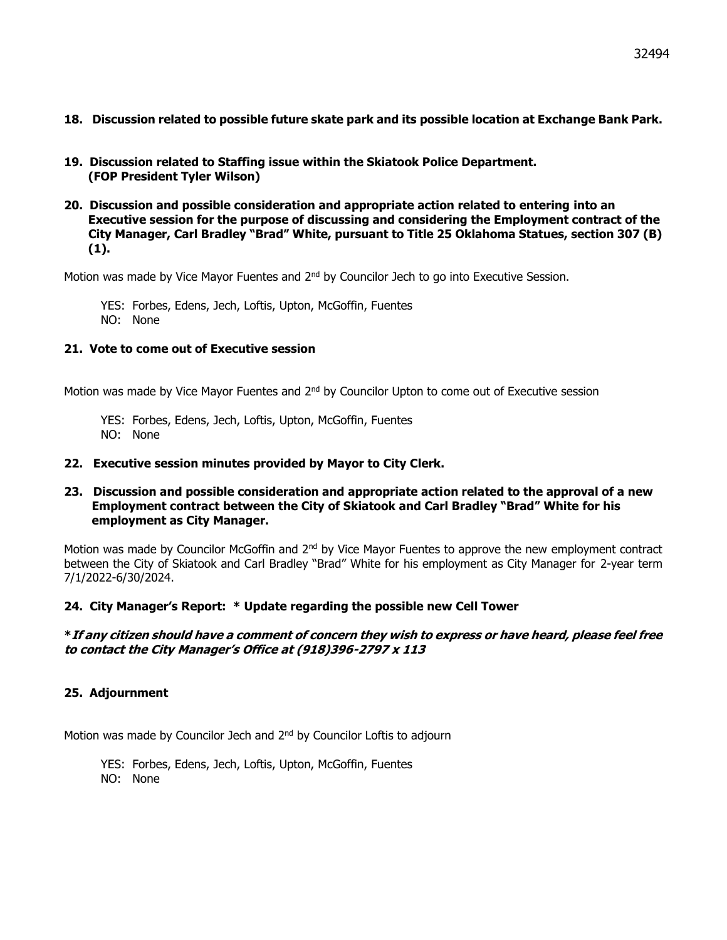- **18. Discussion related to possible future skate park and its possible location at Exchange Bank Park.**
- **19. Discussion related to Staffing issue within the Skiatook Police Department. (FOP President Tyler Wilson)**
- **20. Discussion and possible consideration and appropriate action related to entering into an Executive session for the purpose of discussing and considering the Employment contract of the City Manager, Carl Bradley "Brad" White, pursuant to Title 25 Oklahoma Statues, section 307 (B) (1).**

Motion was made by Vice Mayor Fuentes and 2<sup>nd</sup> by Councilor Jech to go into Executive Session.

YES: Forbes, Edens, Jech, Loftis, Upton, McGoffin, Fuentes NO: None

## **21. Vote to come out of Executive session**

Motion was made by Vice Mayor Fuentes and 2<sup>nd</sup> by Councilor Upton to come out of Executive session

YES: Forbes, Edens, Jech, Loftis, Upton, McGoffin, Fuentes NO: None

### **22. Executive session minutes provided by Mayor to City Clerk.**

## **23. Discussion and possible consideration and appropriate action related to the approval of a new Employment contract between the City of Skiatook and Carl Bradley "Brad" White for his employment as City Manager.**

Motion was made by Councilor McGoffin and 2<sup>nd</sup> by Vice Mayor Fuentes to approve the new employment contract between the City of Skiatook and Carl Bradley "Brad" White for his employment as City Manager for 2-year term 7/1/2022-6/30/2024.

## **24. City Manager's Report: \* Update regarding the possible new Cell Tower**

## **\*If any citizen should have a comment of concern they wish to express or have heard, please feel free to contact the City Manager's Office at (918)396-2797 x 113**

## **25. Adjournment**

Motion was made by Councilor Jech and 2<sup>nd</sup> by Councilor Loftis to adjourn

YES: Forbes, Edens, Jech, Loftis, Upton, McGoffin, Fuentes NO: None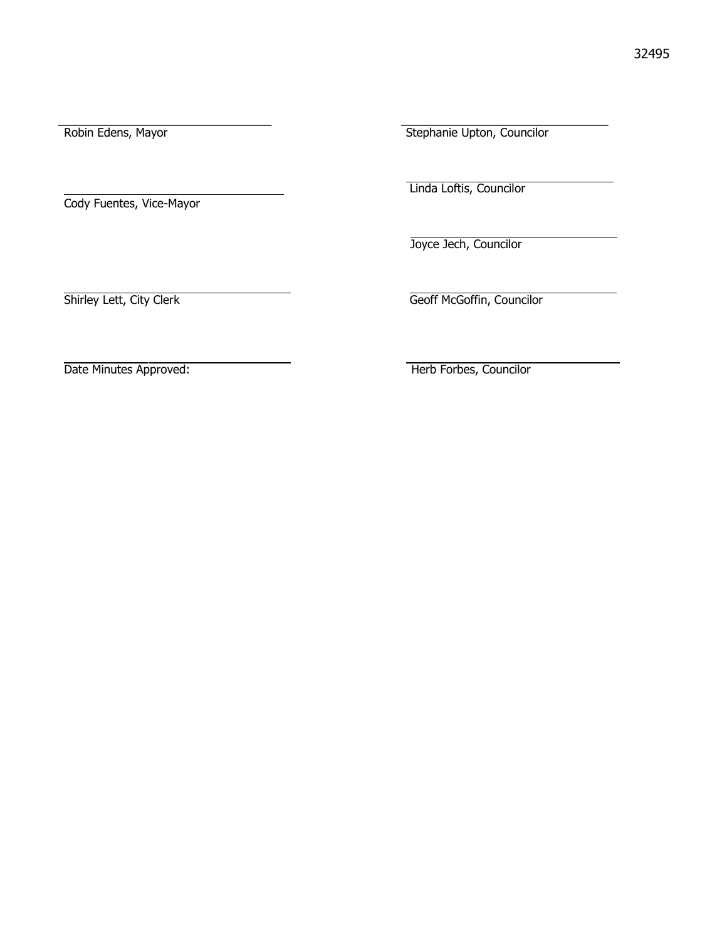Cody Fuentes, Vice-Mayor

\_\_\_\_\_\_\_\_\_\_\_\_\_\_\_\_\_\_\_\_\_\_\_\_\_\_\_\_\_\_\_\_\_ \_\_\_\_\_\_\_\_\_\_\_\_\_\_\_\_\_\_\_\_\_\_\_\_\_\_\_\_\_\_\_\_ Robin Edens, Mayor Stephanie Upton, Councilor

Linda Loftis, Councilor

Joyce Jech, Councilor

Shirley Lett, City Clerk Geoff McGoffin, Councilor

Date Minutes Approved: Therb Forbes, Councilor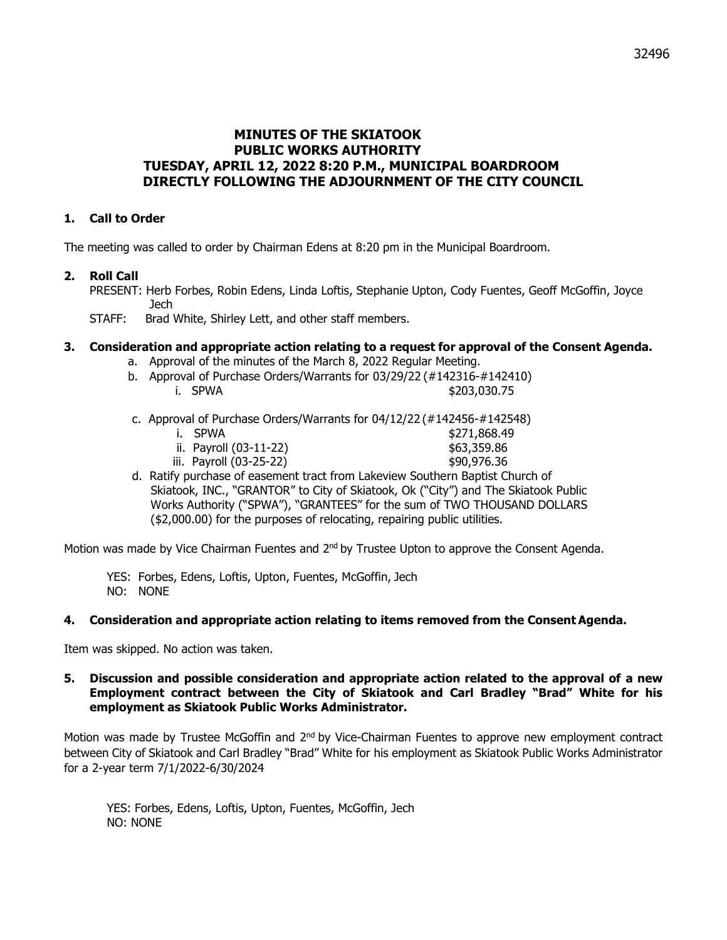# **MINUTES OF THE SKIATOOK PUBLIC WORKS AUTHORITY TUESDAY, APRIL 12, 2022 8:20 P.M., MUNICIPAL BOARDROOM DIRECTLY FOLLOWING THE ADJOURNMENT OF THE CITY COUNCIL**

## **1. Call to Order**

The meeting was called to order by Chairman Edens at 8:20 pm in the Municipal Boardroom.

### **2. Roll Call**

PRESENT: Herb Forbes, Robin Edens, Linda Loftis, Stephanie Upton, Cody Fuentes, Geoff McGoffin, Joyce Jech

STAFF: Brad White, Shirley Lett, and other staff members.

### **3. Consideration and appropriate action relating to a request for approval of the Consent Agenda.**

- a. Approval of the minutes of the March 8, 2022 Regular Meeting.
- b. Approval of Purchase Orders/Warrants for 03/29/22 (#142316-#142410) i. SPWA  $$203,030.75$
- c. Approval of Purchase Orders/Warrants for 04/12/22 (#142456-#142548)
	- i. SPWA \$271,868.49 ii. Payroll (03-11-22) \$63,359.86
		- iii. Payroll (03-25-22) \$90,976.36
- d. Ratify purchase of easement tract from Lakeview Southern Baptist Church of Skiatook, INC., "GRANTOR" to City of Skiatook, Ok ("City") and The Skiatook Public Works Authority ("SPWA"), "GRANTEES" for the sum of TWO THOUSAND DOLLARS (\$2,000.00) for the purposes of relocating, repairing public utilities.

Motion was made by Vice Chairman Fuentes and  $2<sup>nd</sup>$  by Trustee Upton to approve the Consent Agenda.

YES: Forbes, Edens, Loftis, Upton, Fuentes, McGoffin, Jech NO: NONE

#### **4. Consideration and appropriate action relating to items removed from the Consent Agenda.**

Item was skipped. No action was taken.

#### **5. Discussion and possible consideration and appropriate action related to the approval of a new Employment contract between the City of Skiatook and Carl Bradley "Brad" White for his employment as Skiatook Public Works Administrator.**

Motion was made by Trustee McGoffin and 2<sup>nd</sup> by Vice-Chairman Fuentes to approve new employment contract between City of Skiatook and Carl Bradley "Brad" White for his employment as Skiatook Public Works Administrator for a 2-year term 7/1/2022-6/30/2024

YES: Forbes, Edens, Loftis, Upton, Fuentes, McGoffin, Jech NO: NONE